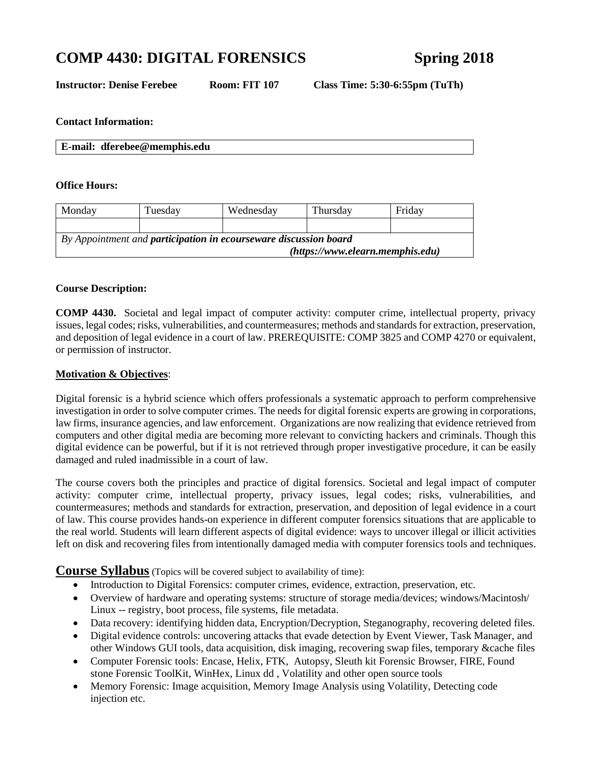# **COMP 4430: DIGITAL FORENSICS Spring 2018**

**Instructor: Denise Ferebee Room: FIT 107 Class Time: 5:30-6:55pm (TuTh)**

#### **Contact Information:**

**E-mail: dferebee@memphis.edu**

#### **Office Hours:**

| Monday                                                                  | Tuesdav | Wednesday | Thursdav | Friday |
|-------------------------------------------------------------------------|---------|-----------|----------|--------|
|                                                                         |         |           |          |        |
| By Appointment and <b>participation in ecourseware discussion board</b> |         |           |          |        |
| (htps://www.elearn.memphis.edu)                                         |         |           |          |        |

#### **Course Description:**

**COMP 4430.** Societal and legal impact of computer activity: computer crime, intellectual property, privacy issues, legal codes; risks, vulnerabilities, and countermeasures; methods and standards for extraction, preservation, and deposition of legal evidence in a court of law. PREREQUISITE: COMP 3825 and COMP 4270 or equivalent, or permission of instructor.

#### **Motivation & Objectives**:

Digital forensic is a hybrid science which offers professionals a systematic approach to perform comprehensive investigation in order to solve computer crimes. The needs for digital forensic experts are growing in corporations, law firms, insurance agencies, and law enforcement. Organizations are now realizing that evidence retrieved from computers and other digital media are becoming more relevant to convicting hackers and criminals. Though this digital evidence can be powerful, but if it is not retrieved through proper investigative procedure, it can be easily damaged and ruled inadmissible in a court of law.

The course covers both the principles and practice of digital forensics. Societal and legal impact of computer activity: computer crime, intellectual property, privacy issues, legal codes; risks, vulnerabilities, and countermeasures; methods and standards for extraction, preservation, and deposition of legal evidence in a court of law. This course provides hands-on experience in different computer forensics situations that are applicable to the real world. Students will learn different aspects of digital evidence: ways to uncover illegal or illicit activities left on disk and recovering files from intentionally damaged media with computer forensics tools and techniques.

**Course Syllabus** (Topics will be covered subject to availability of time):

- Introduction to Digital Forensics: computer crimes, evidence, extraction, preservation, etc.
- Overview of hardware and operating systems: structure of storage media/devices; windows/Macintosh/ Linux -- registry, boot process, file systems, file metadata.
- Data recovery: identifying hidden data, Encryption/Decryption, Steganography, recovering deleted files.
- Digital evidence controls: uncovering attacks that evade detection by Event Viewer, Task Manager, and other Windows GUI tools, data acquisition, disk imaging, recovering swap files, temporary &cache files
- Computer Forensic tools: Encase, Helix, FTK, Autopsy, Sleuth kit Forensic Browser, FIRE, Found stone [Forensic ToolKit,](http://www.foundstone.com/us/resources/proddesc/forensic-toolkit.htm) WinHex, Linux dd , Volatility and other open source tools
- Memory Forensic: Image acquisition, Memory Image Analysis using Volatility, Detecting code injection etc.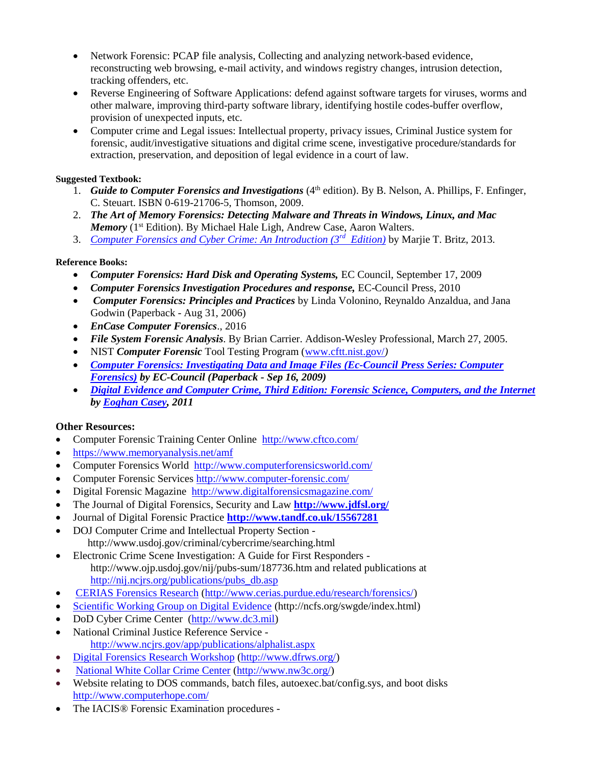- Network Forensic: PCAP file analysis, Collecting and analyzing network-based evidence, reconstructing web browsing, e-mail activity, and windows registry changes, intrusion detection, tracking offenders, etc.
- Reverse Engineering of Software Applications: defend against software targets for viruses, worms and other malware, improving third-party software library, identifying hostile codes-buffer overflow, provision of unexpected inputs, etc.
- Computer crime and Legal issues: Intellectual property, privacy issues, Criminal Justice system for forensic, audit/investigative situations and digital crime scene, investigative procedure/standards for extraction, preservation, and deposition of legal evidence in a court of law.

#### **Suggested Textbook:**

- 1. Guide to Computer Forensics and Investigations (4<sup>th</sup> edition). By B. Nelson, A. Phillips, F. Enfinger, C. Steuart. ISBN 0-619-21706-5, Thomson, 2009.
- 2. *The Art of Memory Forensics: Detecting Malware and Threats in Windows, Linux, and Mac Memory* (1<sup>st</sup> Edition). By Michael Hale Ligh, Andrew Case, Aaron Walters.
- 3. *[Computer Forensics and Cyber Crime: An Introduction \(3](http://www.amazon.com/Computer-Forensics-Cyber-Crime-Introduction/dp/0132677717/ref=sr_1_1?s=books&ie=UTF8&qid=1377539379&sr=1-1&keywords=2.+Computer+Forensics%3A+%2B+2013)rd Edition)* by Marjie T. Britz, 2013.

#### **Reference Books:**

- *Computer Forensics: Hard Disk and Operating Systems, EC Council, September 17, 2009*
- *Computer Forensics Investigation Procedures and response,* EC-Council Press, 2010
- *Computer Forensics: Principles and Practices* by [Linda Volonino,](http://www.amazon.com/Linda-Volonino/e/B001IQXOOY/ref=sr_ntt_srch_lnk_10?_encoding=UTF8&qid=1263928982&sr=1-11) Reynaldo Anzaldua, and Jana Godwin (Paperback - Aug 31, 2006)
- *EnCase Computer Forensics*., 2016
- *File System Forensic Analysis*. By Brian Carrier. Addison-Wesley Professional, March 27, 2005.
- NIST *Computer Forensic* Tool Testing Program [\(www.cftt.nist.gov/](http://www.cftt.nist.gov/)*)*
- *[Computer Forensics: Investigating Data and Image Files \(Ec-Council Press Series: Computer](http://www.amazon.com/Computer-Forensics-Investigating-Image-Ec-Council/dp/1435483510/ref=sr_1_12?s=books&ie=UTF8&qid=1295458535&sr=1-12)  [Forensics\)](http://www.amazon.com/Computer-Forensics-Investigating-Image-Ec-Council/dp/1435483510/ref=sr_1_12?s=books&ie=UTF8&qid=1295458535&sr=1-12) by EC-Council (Paperback - Sep 16, 2009)*
- *[Digital Evidence and Computer Crime, Third Edition: Forensic Science, Computers, and the Internet](http://www.amazon.com/Digital-Evidence-Computer-Crime-Third/dp/0123742684/ref=sr_1_2?s=books&ie=UTF8&qid=1295458535&sr=1-2) b[y Eoghan Casey,](http://www.amazon.com/Eoghan-Casey/e/B000APMIBY/ref=sr_ntt_srch_lnk_2?qid=1295458535&sr=1-2) 2011*

## **Other Resources:**

- Computer Forensic Training Center Online<http://www.cftco.com/>
- <https://www.memoryanalysis.net/amf>
- Computer Forensics World <http://www.computerforensicsworld.com/>
- Computer Forensic Services<http://www.computer-forensic.com/>
- Digital Forensic Magazine <http://www.digitalforensicsmagazine.com/>
- The Journal of Digital Forensics, Security and Law **<http://www.jdfsl.org/>**
- Journal of Digital Forensic Practice **<http://www.tandf.co.uk/15567281>**
- DOJ Computer Crime and Intellectual Property Section http://www.usdoj.gov/criminal/cybercrime/searching.html
- Electronic Crime Scene Investigation: A Guide for First Responders http://www.ojp.usdoj.gov/nij/pubs-sum/187736.htm and related publications at [http://nij.ncjrs.org/publications/pubs\\_db.asp](http://nij.ncjrs.org/publications/pubs_db.asp)
- [CERIAS Forensics Research](http://www.cerias.purdue.edu/forensics/) [\(http://www.cerias.purdue.edu/research/forensics/\)](http://www.cerias.purdue.edu/research/forensics/)
- [Scientific Working Group on Digital Evidence](http://www.swgde.org/) (http://ncfs.org/swgde/index.html)
- DoD Cyber Crime Center [\(http://www.dc3.mil\)](http://www.dc3.mil/)
- National Criminal Justice Reference Service <http://www.ncjrs.gov/app/publications/alphalist.aspx>
- [Digital Forensics Research Workshop](http://www.dfrws.org/) [\(http://www.dfrws.org/\)](http://www.dfrws.org/)
- [National White Collar Crime Center](http://www.nw3c.org/) [\(http://www.nw3c.org/\)](http://www.nw3c.org/)
- Website relating to DOS commands, batch files, autoexec.bat/config.sys, and boot disks <http://www.computerhope.com/>
- The IACIS® Forensic Examination procedures -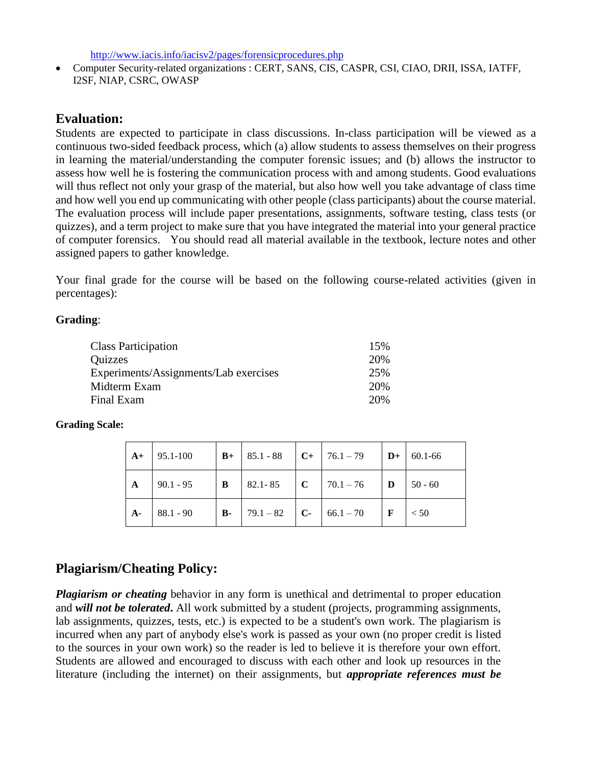<http://www.iacis.info/iacisv2/pages/forensicprocedures.php>

• Computer Security-related organizations : CERT, SANS, CIS, CASPR, CSI, CIAO, DRII, ISSA, IATFF, I2SF, NIAP, CSRC, OWASP

# **Evaluation:**

Students are expected to participate in class discussions. In-class participation will be viewed as a continuous two-sided feedback process, which (a) allow students to assess themselves on their progress in learning the material/understanding the computer forensic issues; and (b) allows the instructor to assess how well he is fostering the communication process with and among students. Good evaluations will thus reflect not only your grasp of the material, but also how well you take advantage of class time and how well you end up communicating with other people (class participants) about the course material. The evaluation process will include paper presentations, assignments, software testing, class tests (or quizzes), and a term project to make sure that you have integrated the material into your general practice of computer forensics. You should read all material available in the textbook, lecture notes and other assigned papers to gather knowledge.

Your final grade for the course will be based on the following course-related activities (given in percentages):

# **Grading**:

| <b>Class Participation</b>            | 15% |
|---------------------------------------|-----|
| Quizzes                               | 20% |
| Experiments/Assignments/Lab exercises | 25% |
| Midterm Exam                          | 20% |
| Final Exam                            | 20% |

## **Grading Scale:**

| $A+$ | $95.1 - 100$ |                |                | $\vert$ <b>B</b> + $\vert$ 85.1 - 88 $\vert$ <b>C</b> + $\vert$ 76.1 - 79          | $\mathbf{D}+$ | 60.1-66   |
|------|--------------|----------------|----------------|------------------------------------------------------------------------------------|---------------|-----------|
| A    | $90.1 - 95$  | $\overline{B}$ |                | $\begin{array}{ c c c c c c } \hline 82.1 - 85 & C & 70.1 - 76 \hline \end{array}$ | $\mathbf{D}$  | $50 - 60$ |
| $A-$ | $88.1 - 90$  | <b>B</b> -     | $79.1 - 82$ C- | $66.1 - 70$                                                                        |               | < 50      |

# **Plagiarism/Cheating Policy:**

*Plagiarism or cheating* behavior in any form is unethical and detrimental to proper education and *will not be tolerated*. All work submitted by a student (projects, programming assignments, lab assignments, quizzes, tests, etc.) is expected to be a student's own work. The plagiarism is incurred when any part of anybody else's work is passed as your own (no proper credit is listed to the sources in your own work) so the reader is led to believe it is therefore your own effort. Students are allowed and encouraged to discuss with each other and look up resources in the literature (including the internet) on their assignments, but *appropriate references must be*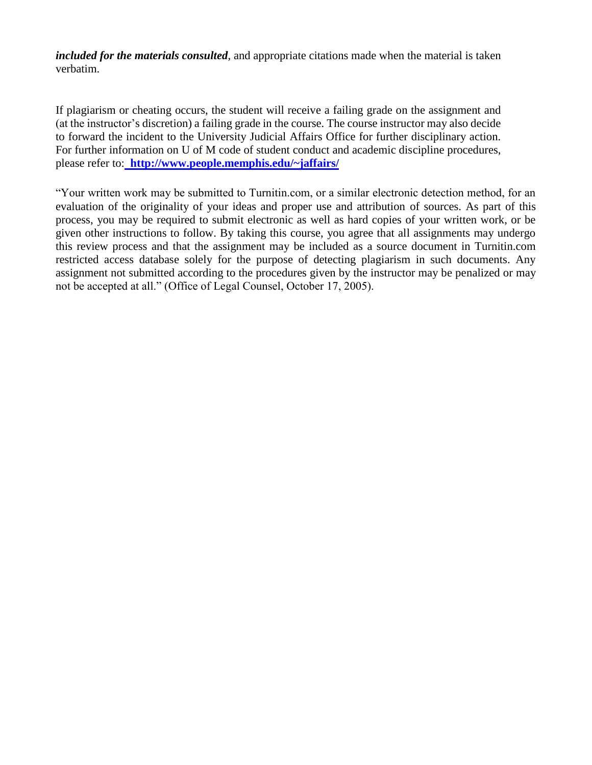*included for the materials consulted,* and appropriate citations made when the material is taken verbatim.

If plagiarism or cheating occurs, the student will receive a failing grade on the assignment and (at the instructor's discretion) a failing grade in the course. The course instructor may also decide to forward the incident to the University Judicial Affairs Office for further disciplinary action. For further information on U of M code of student conduct and academic discipline procedures, please refer to: **http://www.people.memphis.edu/~jaffairs/**

"Your written work may be submitted to Turnitin.com, or a similar electronic detection method, for an evaluation of the originality of your ideas and proper use and attribution of sources. As part of this process, you may be required to submit electronic as well as hard copies of your written work, or be given other instructions to follow. By taking this course, you agree that all assignments may undergo this review process and that the assignment may be included as a source document in Turnitin.com restricted access database solely for the purpose of detecting plagiarism in such documents. Any assignment not submitted according to the procedures given by the instructor may be penalized or may not be accepted at all." (Office of Legal Counsel, October 17, 2005).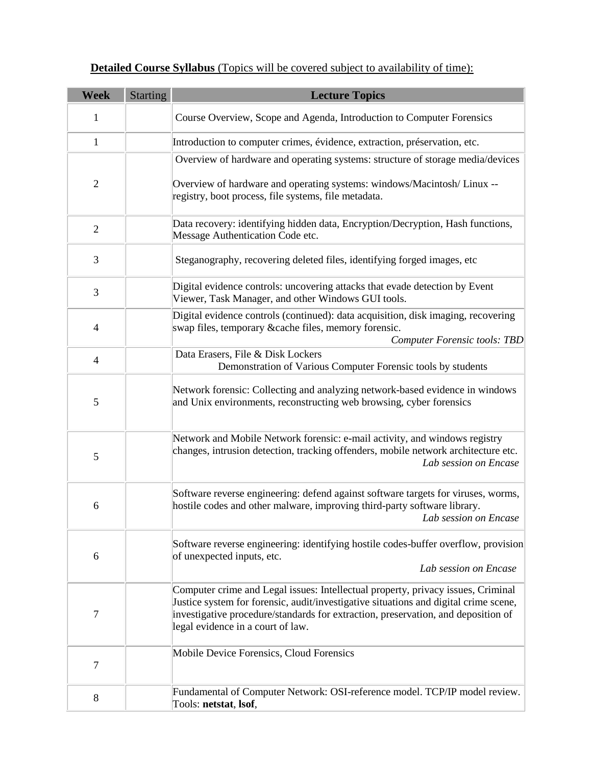| <b>Detailed Course Syllabus</b> (Topics will be covered subject to availability of time): |  |  |  |
|-------------------------------------------------------------------------------------------|--|--|--|
|-------------------------------------------------------------------------------------------|--|--|--|

| <b>Week</b>    | <b>Starting</b> | <b>Lecture Topics</b>                                                                                                                                                                                                                                                                              |
|----------------|-----------------|----------------------------------------------------------------------------------------------------------------------------------------------------------------------------------------------------------------------------------------------------------------------------------------------------|
| 1              |                 | Course Overview, Scope and Agenda, Introduction to Computer Forensics                                                                                                                                                                                                                              |
| $\mathbf{1}$   |                 | Introduction to computer crimes, évidence, extraction, préservation, etc.                                                                                                                                                                                                                          |
|                |                 | Overview of hardware and operating systems: structure of storage media/devices                                                                                                                                                                                                                     |
| $\overline{2}$ |                 | Overview of hardware and operating systems: windows/Macintosh/Linux --<br>registry, boot process, file systems, file metadata.                                                                                                                                                                     |
| $\overline{2}$ |                 | Data recovery: identifying hidden data, Encryption/Decryption, Hash functions,<br>Message Authentication Code etc.                                                                                                                                                                                 |
| 3              |                 | Steganography, recovering deleted files, identifying forged images, etc                                                                                                                                                                                                                            |
| 3              |                 | Digital evidence controls: uncovering attacks that evade detection by Event<br>Viewer, Task Manager, and other Windows GUI tools.                                                                                                                                                                  |
| 4              |                 | Digital evidence controls (continued): data acquisition, disk imaging, recovering<br>swap files, temporary & cache files, memory forensic.<br><b>Computer Forensic tools: TBD</b>                                                                                                                  |
| $\overline{4}$ |                 | Data Erasers, File & Disk Lockers<br>Demonstration of Various Computer Forensic tools by students                                                                                                                                                                                                  |
| 5              |                 | Network forensic: Collecting and analyzing network-based evidence in windows<br>and Unix environments, reconstructing web browsing, cyber forensics                                                                                                                                                |
| 5              |                 | Network and Mobile Network forensic: e-mail activity, and windows registry<br>changes, intrusion detection, tracking offenders, mobile network architecture etc.<br>Lab session on Encase                                                                                                          |
| 6              |                 | Software reverse engineering: defend against software targets for viruses, worms,<br>hostile codes and other malware, improving third-party software library.<br>Lab session on Encase                                                                                                             |
| 6              |                 | Software reverse engineering: identifying hostile codes-buffer overflow, provision<br>of unexpected inputs, etc.<br>Lab session on Encase                                                                                                                                                          |
| 7              |                 | Computer crime and Legal issues: Intellectual property, privacy issues, Criminal<br>Justice system for forensic, audit/investigative situations and digital crime scene,<br>investigative procedure/standards for extraction, preservation, and deposition of<br>legal evidence in a court of law. |
| $\tau$         |                 | Mobile Device Forensics, Cloud Forensics                                                                                                                                                                                                                                                           |
| 8              |                 | Fundamental of Computer Network: OSI-reference model. TCP/IP model review.<br>Tools: netstat, lsof,                                                                                                                                                                                                |